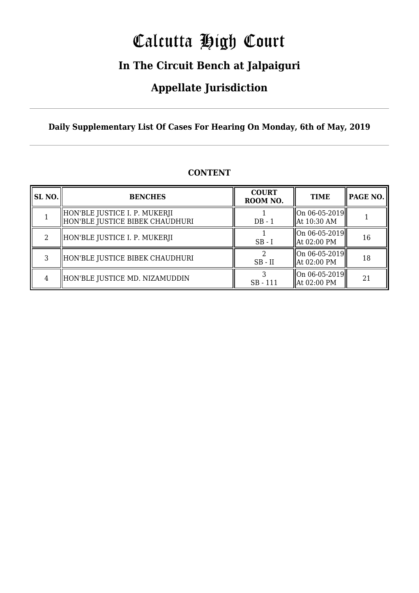# Calcutta High Court

### **In The Circuit Bench at Jalpaiguri**

### **Appellate Jurisdiction**

#### **Daily Supplementary List Of Cases For Hearing On Monday, 6th of May, 2019**

| SL <sub>NO.</sub> | <b>BENCHES</b>                                                     | <b>COURT</b><br>ROOM NO. | <b>TIME</b>                            | <b>PAGE NO.</b> |
|-------------------|--------------------------------------------------------------------|--------------------------|----------------------------------------|-----------------|
|                   | HON'BLE JUSTICE I. P. MUKERJI<br>  HON'BLE JUSTICE BIBEK CHAUDHURI | $DB - 1$                 | On 06-05-2019<br>  At 10:30 AM         |                 |
| $\mathcal{L}$     | HON'BLE JUSTICE I. P. MUKERJI                                      | $SB-I$                   | $\ $ On 06-05-2019<br>At 02:00 PM      | 16              |
| 3                 | HON'BLE JUSTICE BIBEK CHAUDHURI                                    | $SB$ - $II$              | On 06-05-2019  <br>  At 02:00 PM       | 18              |
| 4                 | HON'BLE JUSTICE MD. NIZAMUDDIN                                     | $SB - 111$               | $\ $ On 06-05-2019 $\ $<br>At 02:00 PM | 21              |

#### **CONTENT**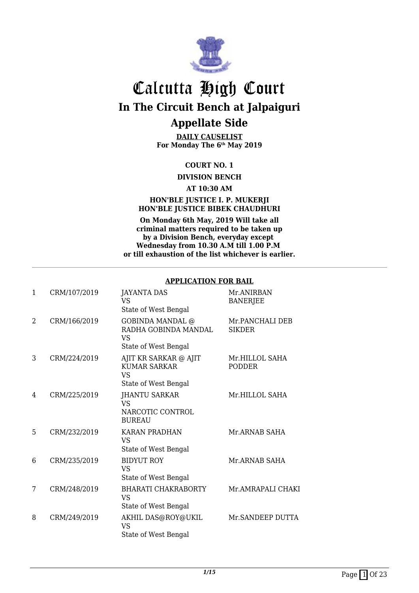

**DAILY CAUSELIST For Monday The 6th May 2019**

#### **COURT NO. 1**

**DIVISION BENCH**

**AT 10:30 AM**

#### **HON'BLE JUSTICE I. P. MUKERJI HON'BLE JUSTICE BIBEK CHAUDHURI**

**On Monday 6th May, 2019 Will take all criminal matters required to be taken up by a Division Bench, everyday except Wednesday from 10.30 A.M till 1.00 P.M or till exhaustion of the list whichever is earlier.**

#### **APPLICATION FOR BAIL**

| 1              | CRM/107/2019 | <b>JAYANTA DAS</b><br>VS<br>State of West Bengal                                     | Mr.ANIRBAN<br><b>BANERJEE</b>    |
|----------------|--------------|--------------------------------------------------------------------------------------|----------------------------------|
| $\overline{2}$ | CRM/166/2019 | <b>GOBINDA MANDAL</b> @<br>RADHA GOBINDA MANDAL<br><b>VS</b><br>State of West Bengal | Mr.PANCHALI DEB<br><b>SIKDER</b> |
| 3              | CRM/224/2019 | AJIT KR SARKAR @ AJIT<br><b>KUMAR SARKAR</b><br>VS<br>State of West Bengal           | Mr.HILLOL SAHA<br><b>PODDER</b>  |
| 4              | CRM/225/2019 | <b>JHANTU SARKAR</b><br>VS<br>NARCOTIC CONTROL<br><b>BUREAU</b>                      | Mr.HILLOL SAHA                   |
| 5              | CRM/232/2019 | <b>KARAN PRADHAN</b><br><b>VS</b><br>State of West Bengal                            | Mr.ARNAB SAHA                    |
| 6              | CRM/235/2019 | <b>BIDYUT ROY</b><br><b>VS</b><br>State of West Bengal                               | Mr.ARNAB SAHA                    |
| 7              | CRM/248/2019 | <b>BHARATI CHAKRABORTY</b><br><b>VS</b><br>State of West Bengal                      | Mr.AMRAPALI CHAKI                |
| 8              | CRM/249/2019 | AKHIL DAS@ROY@UKIL<br>VS<br>State of West Bengal                                     | Mr.SANDEEP DUTTA                 |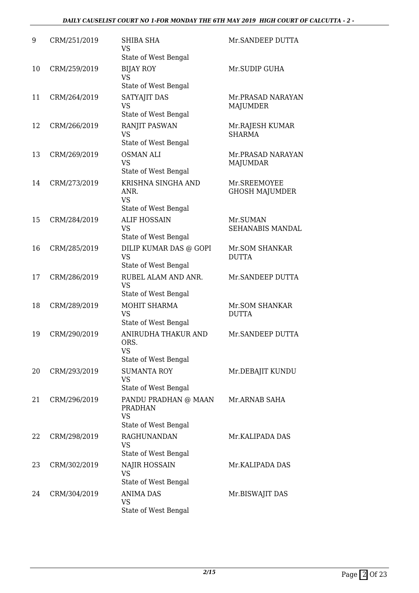#### *DAILY CAUSELIST COURT NO 1-FOR MONDAY THE 6TH MAY 2019 HIGH COURT OF CALCUTTA - 2 -*

| 9  | CRM/251/2019 | <b>SHIBA SHA</b><br>VS.<br>State of West Bengal                             | Mr. SANDEEP DUTTA                     |
|----|--------------|-----------------------------------------------------------------------------|---------------------------------------|
| 10 | CRM/259/2019 | <b>BIJAY ROY</b><br><b>VS</b><br>State of West Bengal                       | Mr.SUDIP GUHA                         |
| 11 | CRM/264/2019 | SATYAJIT DAS<br><b>VS</b><br>State of West Bengal                           | Mr.PRASAD NARAYAN<br><b>MAJUMDER</b>  |
| 12 | CRM/266/2019 | <b>RANJIT PASWAN</b><br><b>VS</b><br>State of West Bengal                   | Mr.RAJESH KUMAR<br><b>SHARMA</b>      |
| 13 | CRM/269/2019 | <b>OSMAN ALI</b><br><b>VS</b><br>State of West Bengal                       | Mr.PRASAD NARAYAN<br><b>MAJUMDAR</b>  |
| 14 | CRM/273/2019 | KRISHNA SINGHA AND<br>ANR.<br><b>VS</b><br>State of West Bengal             | Mr.SREEMOYEE<br><b>GHOSH MAJUMDER</b> |
| 15 | CRM/284/2019 | <b>ALIF HOSSAIN</b><br><b>VS</b><br>State of West Bengal                    | Mr.SUMAN<br>SEHANABIS MANDAL          |
| 16 | CRM/285/2019 | DILIP KUMAR DAS @ GOPI<br><b>VS</b><br>State of West Bengal                 | Mr.SOM SHANKAR<br><b>DUTTA</b>        |
| 17 | CRM/286/2019 | RUBEL ALAM AND ANR.<br><b>VS</b><br>State of West Bengal                    | Mr.SANDEEP DUTTA                      |
| 18 | CRM/289/2019 | MOHIT SHARMA<br><b>VS</b><br>State of West Bengal                           | Mr.SOM SHANKAR<br><b>DUTTA</b>        |
| 19 | CRM/290/2019 | ANIRUDHA THAKUR AND<br>ORS.<br>VS<br>State of West Bengal                   | Mr. SANDEEP DUTTA                     |
| 20 | CRM/293/2019 | <b>SUMANTA ROY</b><br><b>VS</b><br>State of West Bengal                     | Mr.DEBAJIT KUNDU                      |
| 21 | CRM/296/2019 | PANDU PRADHAN @ MAAN<br><b>PRADHAN</b><br><b>VS</b><br>State of West Bengal | Mr.ARNAB SAHA                         |
| 22 | CRM/298/2019 | <b>RAGHUNANDAN</b><br><b>VS</b><br>State of West Bengal                     | Mr.KALIPADA DAS                       |
| 23 | CRM/302/2019 | NAJIR HOSSAIN<br><b>VS</b><br>State of West Bengal                          | Mr.KALIPADA DAS                       |
| 24 | CRM/304/2019 | <b>ANIMA DAS</b><br><b>VS</b><br>State of West Bengal                       | Mr.BISWAJIT DAS                       |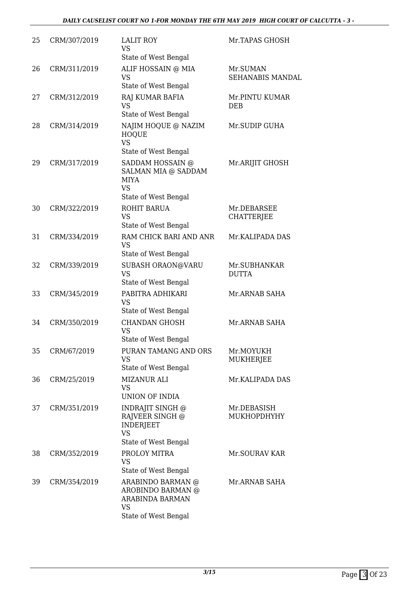#### *DAILY CAUSELIST COURT NO 1-FOR MONDAY THE 6TH MAY 2019 HIGH COURT OF CALCUTTA - 3 -*

| 25 | CRM/307/2019 | <b>LALIT ROY</b><br><b>VS</b><br>State of West Bengal                                                               | Mr.TAPAS GHOSH                      |
|----|--------------|---------------------------------------------------------------------------------------------------------------------|-------------------------------------|
| 26 | CRM/311/2019 | ALIF HOSSAIN @ MIA<br><b>VS</b><br>State of West Bengal                                                             | Mr.SUMAN<br><b>SEHANABIS MANDAL</b> |
| 27 | CRM/312/2019 | RAJ KUMAR BAFIA<br><b>VS</b><br>State of West Bengal                                                                | Mr.PINTU KUMAR<br><b>DEB</b>        |
| 28 | CRM/314/2019 | NAJIM HOQUE @ NAZIM<br><b>HOQUE</b><br><b>VS</b>                                                                    | Mr.SUDIP GUHA                       |
| 29 | CRM/317/2019 | State of West Bengal<br>SADDAM HOSSAIN @<br>SALMAN MIA @ SADDAM<br><b>MIYA</b><br><b>VS</b><br>State of West Bengal | Mr.ARIJIT GHOSH                     |
| 30 | CRM/322/2019 | ROHIT BARUA<br><b>VS</b><br>State of West Bengal                                                                    | Mr.DEBARSEE<br><b>CHATTERJEE</b>    |
| 31 | CRM/334/2019 | RAM CHICK BARI AND ANR<br><b>VS</b><br>State of West Bengal                                                         | Mr.KALIPADA DAS                     |
| 32 | CRM/339/2019 | SUBASH ORAON@VARU<br><b>VS</b><br>State of West Bengal                                                              | Mr.SUBHANKAR<br><b>DUTTA</b>        |
| 33 | CRM/345/2019 | PABITRA ADHIKARI<br><b>VS</b><br>State of West Bengal                                                               | Mr.ARNAB SAHA                       |
| 34 | CRM/350/2019 | <b>CHANDAN GHOSH</b><br><b>VS</b><br>State of West Bengal                                                           | Mr.ARNAB SAHA                       |
| 35 | CRM/67/2019  | PURAN TAMANG AND ORS<br><b>VS</b><br>State of West Bengal                                                           | Mr.MOYUKH<br>MUKHERJEE              |
| 36 | CRM/25/2019  | <b>MIZANUR ALI</b><br><b>VS</b><br><b>UNION OF INDIA</b>                                                            | Mr.KALIPADA DAS                     |
| 37 | CRM/351/2019 | INDRAJIT SINGH @<br>RAJVEER SINGH @<br><b>INDERJEET</b><br><b>VS</b><br>State of West Bengal                        | Mr.DEBASISH<br>MUKHOPDHYHY          |
| 38 | CRM/352/2019 | PROLOY MITRA<br><b>VS</b><br>State of West Bengal                                                                   | Mr.SOURAV KAR                       |
| 39 | CRM/354/2019 | ARABINDO BARMAN @<br>AROBINDO BARMAN @<br>ARABINDA BARMAN<br><b>VS</b><br>State of West Bengal                      | Mr.ARNAB SAHA                       |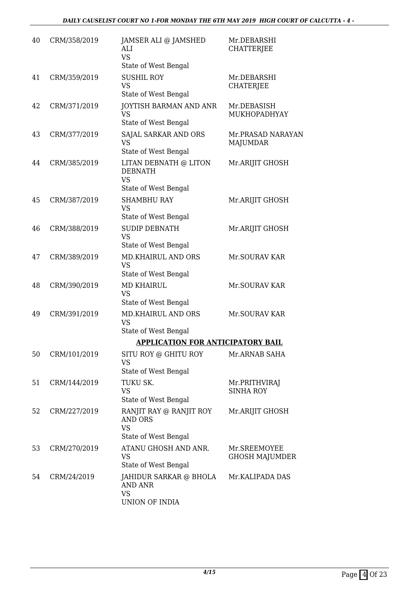| 40 | CRM/358/2019 | JAMSER ALI @ JAMSHED<br>ALI<br><b>VS</b><br>State of West Bengal               | Mr.DEBARSHI<br><b>CHATTERJEE</b>      |
|----|--------------|--------------------------------------------------------------------------------|---------------------------------------|
| 41 | CRM/359/2019 | <b>SUSHIL ROY</b><br><b>VS</b><br>State of West Bengal                         | Mr.DEBARSHI<br><b>CHATERJEE</b>       |
| 42 | CRM/371/2019 | JOYTISH BARMAN AND ANR<br><b>VS</b><br>State of West Bengal                    | Mr.DEBASISH<br>MUKHOPADHYAY           |
| 43 | CRM/377/2019 | SAJAL SARKAR AND ORS<br><b>VS</b><br>State of West Bengal                      | Mr.PRASAD NARAYAN<br><b>MAJUMDAR</b>  |
| 44 | CRM/385/2019 | LITAN DEBNATH @ LITON<br><b>DEBNATH</b><br><b>VS</b><br>State of West Bengal   | Mr.ARIJIT GHOSH                       |
| 45 | CRM/387/2019 | <b>SHAMBHU RAY</b><br><b>VS</b><br>State of West Bengal                        | Mr.ARIJIT GHOSH                       |
| 46 | CRM/388/2019 | <b>SUDIP DEBNATH</b><br><b>VS</b><br>State of West Bengal                      | Mr.ARIJIT GHOSH                       |
| 47 | CRM/389/2019 | <b>MD.KHAIRUL AND ORS</b><br><b>VS</b><br>State of West Bengal                 | Mr.SOURAV KAR                         |
| 48 | CRM/390/2019 | <b>MD KHAIRUL</b><br><b>VS</b><br>State of West Bengal                         | Mr.SOURAV KAR                         |
| 49 | CRM/391/2019 | <b>MD.KHAIRUL AND ORS</b><br><b>VS</b><br>State of West Bengal                 | Mr.SOURAV KAR                         |
|    |              | <b>APPLICATION FOR ANTICIPATORY BAIL</b>                                       |                                       |
| 50 | CRM/101/2019 | SITU ROY @ GHITU ROY<br><b>VS</b><br>State of West Bengal                      | Mr.ARNAB SAHA                         |
| 51 | CRM/144/2019 | TUKU SK.<br><b>VS</b><br>State of West Bengal                                  | Mr.PRITHVIRAJ<br><b>SINHA ROY</b>     |
| 52 | CRM/227/2019 | RANJIT RAY @ RANJIT ROY<br><b>AND ORS</b><br><b>VS</b><br>State of West Bengal | Mr.ARIJIT GHOSH                       |
| 53 | CRM/270/2019 | ATANU GHOSH AND ANR.<br><b>VS</b><br>State of West Bengal                      | Mr.SREEMOYEE<br><b>GHOSH MAJUMDER</b> |
| 54 | CRM/24/2019  | JAHIDUR SARKAR @ BHOLA<br><b>AND ANR</b><br><b>VS</b><br>UNION OF INDIA        | Mr.KALIPADA DAS                       |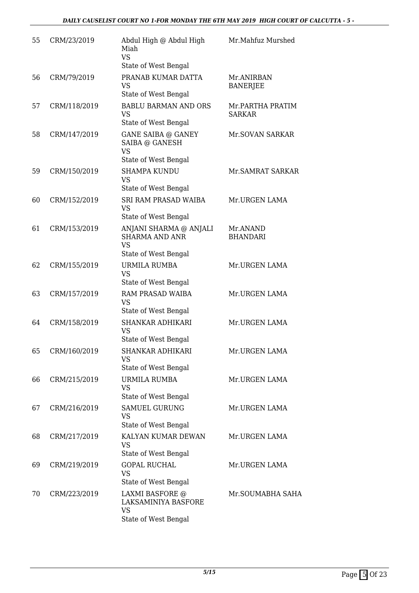| 55 | CRM/23/2019  | Abdul High @ Abdul High<br>Miah<br><b>VS</b><br>State of West Bengal                 | Mr.Mahfuz Murshed                 |
|----|--------------|--------------------------------------------------------------------------------------|-----------------------------------|
| 56 | CRM/79/2019  | PRANAB KUMAR DATTA<br><b>VS</b><br>State of West Bengal                              | Mr.ANIRBAN<br><b>BANERJEE</b>     |
| 57 | CRM/118/2019 | <b>BABLU BARMAN AND ORS</b><br>VS<br>State of West Bengal                            | Mr.PARTHA PRATIM<br><b>SARKAR</b> |
| 58 | CRM/147/2019 | <b>GANE SAIBA @ GANEY</b><br>SAIBA @ GANESH<br><b>VS</b><br>State of West Bengal     | Mr.SOVAN SARKAR                   |
| 59 | CRM/150/2019 | <b>SHAMPA KUNDU</b><br><b>VS</b><br>State of West Bengal                             | Mr. SAMRAT SARKAR                 |
| 60 | CRM/152/2019 | SRI RAM PRASAD WAIBA<br>VS<br>State of West Bengal                                   | Mr.URGEN LAMA                     |
| 61 | CRM/153/2019 | ANJANI SHARMA @ ANJALI<br><b>SHARMA AND ANR</b><br><b>VS</b><br>State of West Bengal | Mr.ANAND<br><b>BHANDARI</b>       |
| 62 | CRM/155/2019 | URMILA RUMBA<br><b>VS</b><br>State of West Bengal                                    | Mr.URGEN LAMA                     |
| 63 | CRM/157/2019 | RAM PRASAD WAIBA<br><b>VS</b><br>State of West Bengal                                | Mr.URGEN LAMA                     |
| 64 | CRM/158/2019 | <b>SHANKAR ADHIKARI</b><br><b>VS</b><br>State of West Bengal                         | Mr.URGEN LAMA                     |
| 65 | CRM/160/2019 | SHANKAR ADHIKARI<br>VS<br>State of West Bengal                                       | Mr.URGEN LAMA                     |
| 66 | CRM/215/2019 | URMILA RUMBA<br><b>VS</b><br>State of West Bengal                                    | Mr.URGEN LAMA                     |
| 67 | CRM/216/2019 | <b>SAMUEL GURUNG</b><br>VS<br>State of West Bengal                                   | Mr.URGEN LAMA                     |
| 68 | CRM/217/2019 | KALYAN KUMAR DEWAN<br><b>VS</b><br>State of West Bengal                              | Mr.URGEN LAMA                     |
| 69 | CRM/219/2019 | <b>GOPAL RUCHAL</b><br><b>VS</b><br>State of West Bengal                             | Mr.URGEN LAMA                     |
| 70 | CRM/223/2019 | LAXMI BASFORE @<br>LAKSAMINIYA BASFORE<br><b>VS</b><br>State of West Bengal          | Mr.SOUMABHA SAHA                  |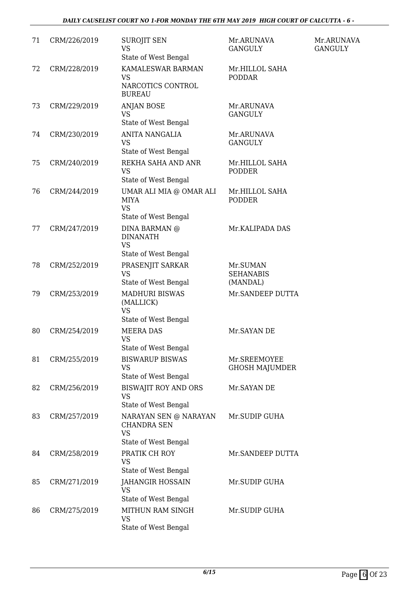#### *DAILY CAUSELIST COURT NO 1-FOR MONDAY THE 6TH MAY 2019 HIGH COURT OF CALCUTTA - 6 -*

| 71 | CRM/226/2019 | <b>SUROJIT SEN</b><br>VS<br>State of West Bengal                                 | Mr.ARUNAVA<br><b>GANGULY</b>             | Mr.ARUNAVA<br><b>GANGULY</b> |
|----|--------------|----------------------------------------------------------------------------------|------------------------------------------|------------------------------|
| 72 | CRM/228/2019 | KAMALESWAR BARMAN<br><b>VS</b><br>NARCOTICS CONTROL<br><b>BUREAU</b>             | Mr.HILLOL SAHA<br><b>PODDAR</b>          |                              |
| 73 | CRM/229/2019 | <b>ANJAN BOSE</b><br><b>VS</b><br>State of West Bengal                           | Mr.ARUNAVA<br><b>GANGULY</b>             |                              |
| 74 | CRM/230/2019 | <b>ANITA NANGALIA</b><br><b>VS</b><br>State of West Bengal                       | Mr.ARUNAVA<br><b>GANGULY</b>             |                              |
| 75 | CRM/240/2019 | REKHA SAHA AND ANR<br><b>VS</b><br>State of West Bengal                          | Mr.HILLOL SAHA<br><b>PODDER</b>          |                              |
| 76 | CRM/244/2019 | UMAR ALI MIA @ OMAR ALI<br><b>MIYA</b><br><b>VS</b><br>State of West Bengal      | Mr.HILLOL SAHA<br><b>PODDER</b>          |                              |
| 77 | CRM/247/2019 | DINA BARMAN @<br><b>DINANATH</b><br><b>VS</b><br>State of West Bengal            | Mr.KALIPADA DAS                          |                              |
| 78 | CRM/252/2019 | PRASENJIT SARKAR<br><b>VS</b><br>State of West Bengal                            | Mr.SUMAN<br><b>SEHANABIS</b><br>(MANDAL) |                              |
| 79 | CRM/253/2019 | <b>MADHURI BISWAS</b><br>(MALLICK)<br><b>VS</b><br>State of West Bengal          | Mr.SANDEEP DUTTA                         |                              |
| 80 | CRM/254/2019 | <b>MEERA DAS</b><br><b>VS</b><br>State of West Bengal                            | Mr. SAYAN DE                             |                              |
| 81 | CRM/255/2019 | <b>BISWARUP BISWAS</b><br><b>VS</b><br>State of West Bengal                      | Mr.SREEMOYEE<br><b>GHOSH MAJUMDER</b>    |                              |
| 82 | CRM/256/2019 | <b>BISWAJIT ROY AND ORS</b><br><b>VS</b><br>State of West Bengal                 | Mr. SAYAN DE                             |                              |
| 83 | CRM/257/2019 | NARAYAN SEN @ NARAYAN<br><b>CHANDRA SEN</b><br><b>VS</b><br>State of West Bengal | Mr.SUDIP GUHA                            |                              |
| 84 | CRM/258/2019 | PRATIK CH ROY<br><b>VS</b><br>State of West Bengal                               | Mr.SANDEEP DUTTA                         |                              |
| 85 | CRM/271/2019 | <b>JAHANGIR HOSSAIN</b><br><b>VS</b><br>State of West Bengal                     | Mr.SUDIP GUHA                            |                              |
| 86 | CRM/275/2019 | MITHUN RAM SINGH<br><b>VS</b><br>State of West Bengal                            | Mr.SUDIP GUHA                            |                              |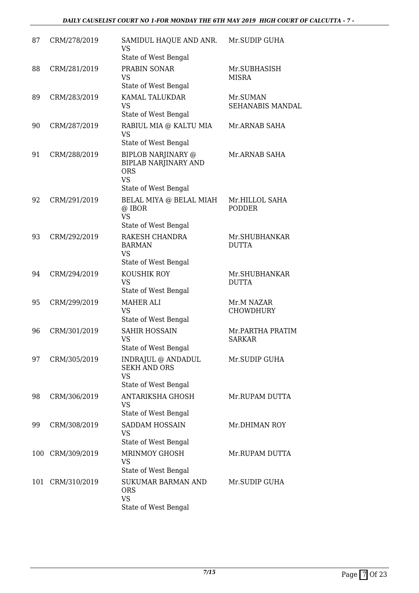| 87  | CRM/278/2019 | SAMIDUL HAQUE AND ANR.<br><b>VS</b><br>State of West Bengal                                                 | Mr.SUDIP GUHA                     |
|-----|--------------|-------------------------------------------------------------------------------------------------------------|-----------------------------------|
| 88  | CRM/281/2019 | PRABIN SONAR<br><b>VS</b><br><b>State of West Bengal</b>                                                    | Mr.SUBHASISH<br><b>MISRA</b>      |
| 89  | CRM/283/2019 | KAMAL TALUKDAR<br><b>VS</b><br>State of West Bengal                                                         | Mr.SUMAN<br>SEHANABIS MANDAL      |
| 90  | CRM/287/2019 | RABIUL MIA @ KALTU MIA<br><b>VS</b><br>State of West Bengal                                                 | Mr.ARNAB SAHA                     |
| 91  | CRM/288/2019 | <b>BIPLOB NARJINARY @</b><br><b>BIPLAB NARJINARY AND</b><br><b>ORS</b><br><b>VS</b><br>State of West Bengal | Mr.ARNAB SAHA                     |
| 92  | CRM/291/2019 | BELAL MIYA @ BELAL MIAH<br>@ IBOR<br><b>VS</b><br>State of West Bengal                                      | Mr.HILLOL SAHA<br><b>PODDER</b>   |
| 93  | CRM/292/2019 | RAKESH CHANDRA<br><b>BARMAN</b><br><b>VS</b><br>State of West Bengal                                        | Mr.SHUBHANKAR<br><b>DUTTA</b>     |
| 94  | CRM/294/2019 | KOUSHIK ROY<br><b>VS</b><br>State of West Bengal                                                            | Mr.SHUBHANKAR<br><b>DUTTA</b>     |
| 95  | CRM/299/2019 | <b>MAHER ALI</b><br><b>VS</b><br>State of West Bengal                                                       | Mr.M NAZAR<br><b>CHOWDHURY</b>    |
| 96  | CRM/301/2019 | <b>SAHIR HOSSAIN</b><br><b>VS</b><br>State of West Bengal                                                   | Mr.PARTHA PRATIM<br><b>SARKAR</b> |
| 97  | CRM/305/2019 | INDRAJUL @ ANDADUL<br><b>SEKH AND ORS</b><br><b>VS</b><br>State of West Bengal                              | Mr.SUDIP GUHA                     |
| 98  | CRM/306/2019 | <b>ANTARIKSHA GHOSH</b><br><b>VS</b><br>State of West Bengal                                                | Mr.RUPAM DUTTA                    |
| 99  | CRM/308/2019 | SADDAM HOSSAIN<br><b>VS</b><br>State of West Bengal                                                         | Mr.DHIMAN ROY                     |
| 100 | CRM/309/2019 | MRINMOY GHOSH<br><b>VS</b><br>State of West Bengal                                                          | Mr.RUPAM DUTTA                    |
| 101 | CRM/310/2019 | <b>SUKUMAR BARMAN AND</b><br><b>ORS</b><br><b>VS</b><br>State of West Bengal                                | Mr.SUDIP GUHA                     |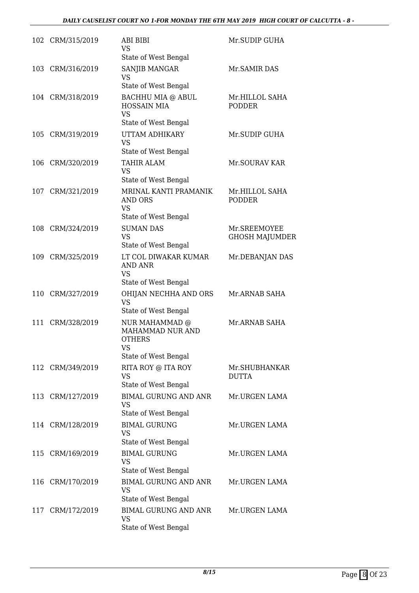|     | 102 CRM/315/2019 | ABI BIBI<br>VS<br>State of West Bengal                                             | Mr.SUDIP GUHA                         |
|-----|------------------|------------------------------------------------------------------------------------|---------------------------------------|
|     | 103 CRM/316/2019 | SANJIB MANGAR<br><b>VS</b><br>State of West Bengal                                 | Mr. SAMIR DAS                         |
|     | 104 CRM/318/2019 | BACHHU MIA @ ABUL<br><b>HOSSAIN MIA</b><br><b>VS</b><br>State of West Bengal       | Mr.HILLOL SAHA<br><b>PODDER</b>       |
|     | 105 CRM/319/2019 | UTTAM ADHIKARY<br><b>VS</b><br>State of West Bengal                                | Mr.SUDIP GUHA                         |
| 106 | CRM/320/2019     | <b>TAHIR ALAM</b><br><b>VS</b><br>State of West Bengal                             | Mr.SOURAV KAR                         |
| 107 | CRM/321/2019     | MRINAL KANTI PRAMANIK<br>AND ORS<br><b>VS</b><br>State of West Bengal              | Mr.HILLOL SAHA<br><b>PODDER</b>       |
| 108 | CRM/324/2019     | <b>SUMAN DAS</b><br><b>VS</b><br>State of West Bengal                              | Mr.SREEMOYEE<br><b>GHOSH MAJUMDER</b> |
| 109 | CRM/325/2019     | LT COL DIWAKAR KUMAR<br><b>AND ANR</b><br><b>VS</b><br>State of West Bengal        | Mr.DEBANJAN DAS                       |
| 110 | CRM/327/2019     | OHIJAN NECHHA AND ORS<br><b>VS</b><br>State of West Bengal                         | Mr.ARNAB SAHA                         |
| 111 | CRM/328/2019     | NUR MAHAMMAD @<br>MAHAMMAD NUR AND<br><b>OTHERS</b><br>VS.<br>State of West Bengal | Mr.ARNAB SAHA                         |
|     | 112 CRM/349/2019 | RITA ROY @ ITA ROY<br>VS<br>State of West Bengal                                   | Mr.SHUBHANKAR<br>DUTTA                |
| 113 | CRM/127/2019     | <b>BIMAL GURUNG AND ANR</b><br>VS<br>State of West Bengal                          | Mr.URGEN LAMA                         |
|     | 114 CRM/128/2019 | <b>BIMAL GURUNG</b><br>VS<br>State of West Bengal                                  | Mr.URGEN LAMA                         |
| 115 | CRM/169/2019     | <b>BIMAL GURUNG</b><br><b>VS</b><br>State of West Bengal                           | Mr.URGEN LAMA                         |
| 116 | CRM/170/2019     | <b>BIMAL GURUNG AND ANR</b><br>VS<br>State of West Bengal                          | Mr.URGEN LAMA                         |
| 117 | CRM/172/2019     | <b>BIMAL GURUNG AND ANR</b><br>VS<br>State of West Bengal                          | Mr.URGEN LAMA                         |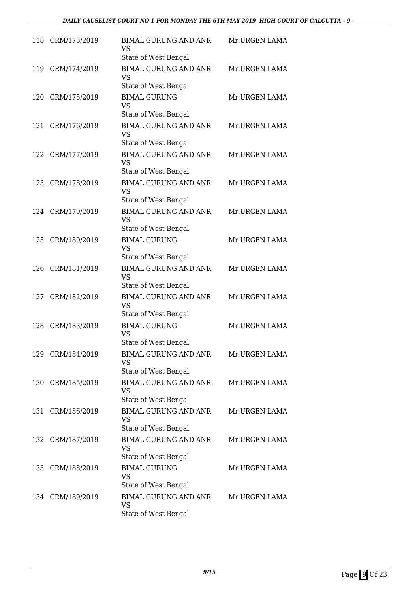| 118 | CRM/173/2019     | <b>BIMAL GURUNG AND ANR</b><br><b>VS</b><br>State of West Bengal | Mr.URGEN LAMA |
|-----|------------------|------------------------------------------------------------------|---------------|
| 119 | CRM/174/2019     | <b>BIMAL GURUNG AND ANR</b><br><b>VS</b><br>State of West Bengal | Mr.URGEN LAMA |
| 120 | CRM/175/2019     | <b>BIMAL GURUNG</b><br><b>VS</b><br>State of West Bengal         | Mr.URGEN LAMA |
| 121 | CRM/176/2019     | <b>BIMAL GURUNG AND ANR</b><br><b>VS</b><br>State of West Bengal | Mr.URGEN LAMA |
| 122 | CRM/177/2019     | <b>BIMAL GURUNG AND ANR</b><br><b>VS</b><br>State of West Bengal | Mr.URGEN LAMA |
|     | 123 CRM/178/2019 | <b>BIMAL GURUNG AND ANR</b><br><b>VS</b><br>State of West Bengal | Mr.URGEN LAMA |
|     | 124 CRM/179/2019 | <b>BIMAL GURUNG AND ANR</b><br><b>VS</b><br>State of West Bengal | Mr.URGEN LAMA |
| 125 | CRM/180/2019     | <b>BIMAL GURUNG</b><br><b>VS</b><br>State of West Bengal         | Mr.URGEN LAMA |
| 126 | CRM/181/2019     | <b>BIMAL GURUNG AND ANR</b><br><b>VS</b><br>State of West Bengal | Mr.URGEN LAMA |
| 127 | CRM/182/2019     | <b>BIMAL GURUNG AND ANR</b><br><b>VS</b><br>State of West Bengal | Mr.URGEN LAMA |
| 128 | CRM/183/2019     | <b>BIMAL GURUNG</b><br><b>VS</b><br>State of West Bengal         | Mr.URGEN LAMA |
|     | 129 CRM/184/2019 | <b>BIMAL GURUNG AND ANR</b><br><b>VS</b><br>State of West Bengal | Mr.URGEN LAMA |
|     | 130 CRM/185/2019 | BIMAL GURUNG AND ANR.<br><b>VS</b><br>State of West Bengal       | Mr.URGEN LAMA |
| 131 | CRM/186/2019     | <b>BIMAL GURUNG AND ANR</b><br><b>VS</b><br>State of West Bengal | Mr.URGEN LAMA |
|     | 132 CRM/187/2019 | <b>BIMAL GURUNG AND ANR</b><br><b>VS</b><br>State of West Bengal | Mr.URGEN LAMA |
|     | 133 CRM/188/2019 | <b>BIMAL GURUNG</b><br><b>VS</b><br>State of West Bengal         | Mr.URGEN LAMA |
|     | 134 CRM/189/2019 | <b>BIMAL GURUNG AND ANR</b><br><b>VS</b><br>State of West Bengal | Mr.URGEN LAMA |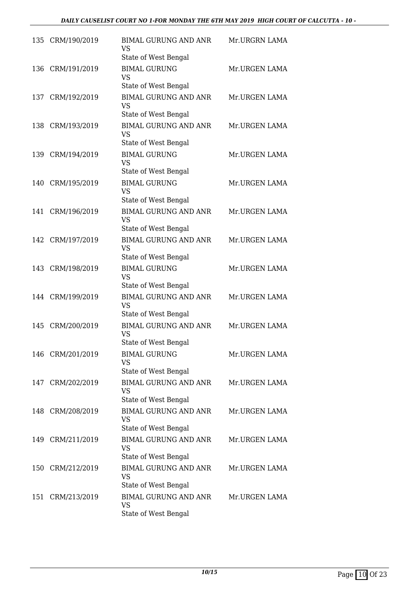|     | 135 CRM/190/2019 | <b>BIMAL GURUNG AND ANR</b><br><b>VS</b><br>State of West Bengal | Mr.URGRN LAMA |
|-----|------------------|------------------------------------------------------------------|---------------|
| 136 | CRM/191/2019     | <b>BIMAL GURUNG</b><br><b>VS</b><br>State of West Bengal         | Mr.URGEN LAMA |
|     | 137 CRM/192/2019 | <b>BIMAL GURUNG AND ANR</b><br><b>VS</b><br>State of West Bengal | Mr.URGEN LAMA |
| 138 | CRM/193/2019     | <b>BIMAL GURUNG AND ANR</b><br><b>VS</b><br>State of West Bengal | Mr.URGEN LAMA |
| 139 | CRM/194/2019     | <b>BIMAL GURUNG</b><br><b>VS</b><br>State of West Bengal         | Mr.URGEN LAMA |
|     | 140 CRM/195/2019 | <b>BIMAL GURUNG</b><br><b>VS</b><br>State of West Bengal         | Mr.URGEN LAMA |
| 141 | CRM/196/2019     | <b>BIMAL GURUNG AND ANR</b><br><b>VS</b><br>State of West Bengal | Mr.URGEN LAMA |
|     | 142 CRM/197/2019 | <b>BIMAL GURUNG AND ANR</b><br><b>VS</b><br>State of West Bengal | Mr.URGEN LAMA |
| 143 | CRM/198/2019     | <b>BIMAL GURUNG</b><br><b>VS</b><br>State of West Bengal         | Mr.URGEN LAMA |
|     | 144 CRM/199/2019 | <b>BIMAL GURUNG AND ANR</b><br><b>VS</b><br>State of West Bengal | Mr.URGEN LAMA |
| 145 | CRM/200/2019     | <b>BIMAL GURUNG AND ANR</b><br><b>VS</b><br>State of West Bengal | Mr.URGEN LAMA |
|     | 146 CRM/201/2019 | <b>BIMAL GURUNG</b><br><b>VS</b><br>State of West Bengal         | Mr.URGEN LAMA |
|     | 147 CRM/202/2019 | <b>BIMAL GURUNG AND ANR</b><br><b>VS</b><br>State of West Bengal | Mr.URGEN LAMA |
|     | 148 CRM/208/2019 | <b>BIMAL GURUNG AND ANR</b><br>VS.<br>State of West Bengal       | Mr.URGEN LAMA |
|     | 149 CRM/211/2019 | <b>BIMAL GURUNG AND ANR</b><br><b>VS</b><br>State of West Bengal | Mr.URGEN LAMA |
|     | 150 CRM/212/2019 | <b>BIMAL GURUNG AND ANR</b><br><b>VS</b><br>State of West Bengal | Mr.URGEN LAMA |
| 151 | CRM/213/2019     | <b>BIMAL GURUNG AND ANR</b><br><b>VS</b><br>State of West Bengal | Mr.URGEN LAMA |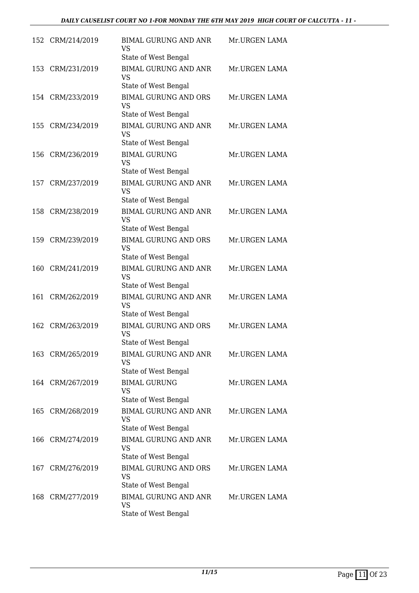| 152 | CRM/214/2019     | <b>BIMAL GURUNG AND ANR</b><br><b>VS</b><br>State of West Bengal | Mr.URGEN LAMA |
|-----|------------------|------------------------------------------------------------------|---------------|
| 153 | CRM/231/2019     | <b>BIMAL GURUNG AND ANR</b><br><b>VS</b><br>State of West Bengal | Mr.URGEN LAMA |
|     | 154 CRM/233/2019 | <b>BIMAL GURUNG AND ORS</b><br><b>VS</b><br>State of West Bengal | Mr.URGEN LAMA |
| 155 | CRM/234/2019     | <b>BIMAL GURUNG AND ANR</b><br><b>VS</b><br>State of West Bengal | Mr.URGEN LAMA |
| 156 | CRM/236/2019     | <b>BIMAL GURUNG</b><br><b>VS</b><br>State of West Bengal         | Mr.URGEN LAMA |
| 157 | CRM/237/2019     | <b>BIMAL GURUNG AND ANR</b><br><b>VS</b><br>State of West Bengal | Mr.URGEN LAMA |
| 158 | CRM/238/2019     | <b>BIMAL GURUNG AND ANR</b><br><b>VS</b><br>State of West Bengal | Mr.URGEN LAMA |
| 159 | CRM/239/2019     | <b>BIMAL GURUNG AND ORS</b><br><b>VS</b><br>State of West Bengal | Mr.URGEN LAMA |
| 160 | CRM/241/2019     | <b>BIMAL GURUNG AND ANR</b><br><b>VS</b><br>State of West Bengal | Mr.URGEN LAMA |
| 161 | CRM/262/2019     | <b>BIMAL GURUNG AND ANR</b><br><b>VS</b><br>State of West Bengal | Mr.URGEN LAMA |
| 162 | CRM/263/2019     | <b>BIMAL GURUNG AND ORS</b><br><b>VS</b><br>State of West Bengal | Mr.URGEN LAMA |
|     | 163 CRM/265/2019 | <b>BIMAL GURUNG AND ANR</b><br><b>VS</b><br>State of West Bengal | Mr.URGEN LAMA |
|     | 164 CRM/267/2019 | <b>BIMAL GURUNG</b><br><b>VS</b><br>State of West Bengal         | Mr.URGEN LAMA |
|     | 165 CRM/268/2019 | <b>BIMAL GURUNG AND ANR</b><br><b>VS</b><br>State of West Bengal | Mr.URGEN LAMA |
|     | 166 CRM/274/2019 | <b>BIMAL GURUNG AND ANR</b><br><b>VS</b><br>State of West Bengal | Mr.URGEN LAMA |
|     | 167 CRM/276/2019 | <b>BIMAL GURUNG AND ORS</b><br><b>VS</b><br>State of West Bengal | Mr.URGEN LAMA |
| 168 | CRM/277/2019     | <b>BIMAL GURUNG AND ANR</b><br><b>VS</b><br>State of West Bengal | Mr.URGEN LAMA |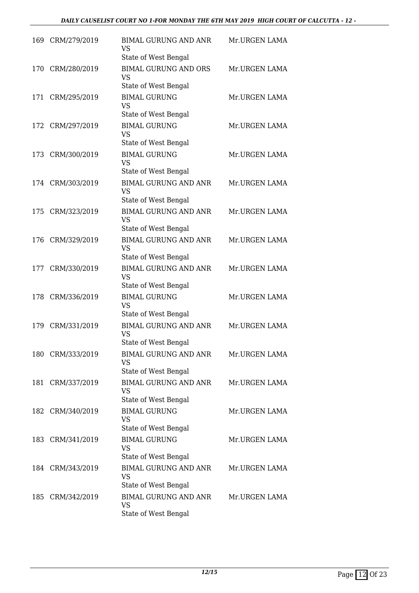| 169 | CRM/279/2019     | <b>BIMAL GURUNG AND ANR</b><br><b>VS</b><br>State of West Bengal | Mr.URGEN LAMA |
|-----|------------------|------------------------------------------------------------------|---------------|
| 170 | CRM/280/2019     | <b>BIMAL GURUNG AND ORS</b><br><b>VS</b><br>State of West Bengal | Mr.URGEN LAMA |
| 171 | CRM/295/2019     | <b>BIMAL GURUNG</b><br><b>VS</b><br>State of West Bengal         | Mr.URGEN LAMA |
|     | 172 CRM/297/2019 | <b>BIMAL GURUNG</b><br><b>VS</b><br>State of West Bengal         | Mr.URGEN LAMA |
| 173 | CRM/300/2019     | <b>BIMAL GURUNG</b><br><b>VS</b><br>State of West Bengal         | Mr.URGEN LAMA |
|     | 174 CRM/303/2019 | <b>BIMAL GURUNG AND ANR</b><br><b>VS</b><br>State of West Bengal | Mr.URGEN LAMA |
| 175 | CRM/323/2019     | <b>BIMAL GURUNG AND ANR</b><br><b>VS</b><br>State of West Bengal | Mr.URGEN LAMA |
| 176 | CRM/329/2019     | <b>BIMAL GURUNG AND ANR</b><br><b>VS</b><br>State of West Bengal | Mr.URGEN LAMA |
| 177 | CRM/330/2019     | <b>BIMAL GURUNG AND ANR</b><br><b>VS</b><br>State of West Bengal | Mr.URGEN LAMA |
| 178 | CRM/336/2019     | <b>BIMAL GURUNG</b><br><b>VS</b><br>State of West Bengal         | Mr.URGEN LAMA |
| 179 | CRM/331/2019     | <b>BIMAL GURUNG AND ANR</b><br><b>VS</b><br>State of West Bengal | Mr.URGEN LAMA |
|     | 180 CRM/333/2019 | <b>BIMAL GURUNG AND ANR</b><br><b>VS</b><br>State of West Bengal | Mr.URGEN LAMA |
| 181 | CRM/337/2019     | <b>BIMAL GURUNG AND ANR</b><br><b>VS</b><br>State of West Bengal | Mr.URGEN LAMA |
|     | 182 CRM/340/2019 | <b>BIMAL GURUNG</b><br><b>VS</b><br>State of West Bengal         | Mr.URGEN LAMA |
|     | 183 CRM/341/2019 | <b>BIMAL GURUNG</b><br><b>VS</b><br>State of West Bengal         | Mr.URGEN LAMA |
|     | 184 CRM/343/2019 | <b>BIMAL GURUNG AND ANR</b><br><b>VS</b><br>State of West Bengal | Mr.URGEN LAMA |
| 185 | CRM/342/2019     | <b>BIMAL GURUNG AND ANR</b><br><b>VS</b><br>State of West Bengal | Mr.URGEN LAMA |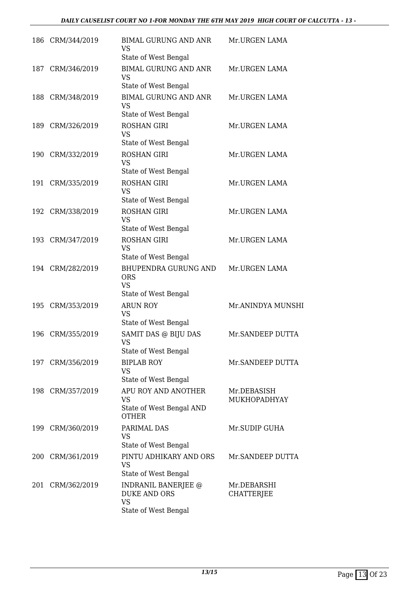|     | 186 CRM/344/2019 | <b>BIMAL GURUNG AND ANR</b><br><b>VS</b><br>State of West Bengal                | Mr.URGEN LAMA               |
|-----|------------------|---------------------------------------------------------------------------------|-----------------------------|
| 187 | CRM/346/2019     | <b>BIMAL GURUNG AND ANR</b><br><b>VS</b><br>State of West Bengal                | Mr.URGEN LAMA               |
|     | 188 CRM/348/2019 | <b>BIMAL GURUNG AND ANR</b><br>VS<br>State of West Bengal                       | Mr.URGEN LAMA               |
| 189 | CRM/326/2019     | <b>ROSHAN GIRI</b><br><b>VS</b><br>State of West Bengal                         | Mr.URGEN LAMA               |
|     | 190 CRM/332/2019 | <b>ROSHAN GIRI</b><br><b>VS</b><br>State of West Bengal                         | Mr.URGEN LAMA               |
|     | 191 CRM/335/2019 | <b>ROSHAN GIRI</b><br><b>VS</b><br>State of West Bengal                         | Mr.URGEN LAMA               |
|     | 192 CRM/338/2019 | <b>ROSHAN GIRI</b><br><b>VS</b><br>State of West Bengal                         | Mr.URGEN LAMA               |
|     | 193 CRM/347/2019 | <b>ROSHAN GIRI</b><br><b>VS</b><br>State of West Bengal                         | Mr.URGEN LAMA               |
|     | 194 CRM/282/2019 | <b>BHUPENDRA GURUNG AND</b><br><b>ORS</b><br><b>VS</b><br>State of West Bengal  | Mr.URGEN LAMA               |
| 195 | CRM/353/2019     | <b>ARUN ROY</b><br><b>VS</b><br>State of West Bengal                            | Mr.ANINDYA MUNSHI           |
| 196 | CRM/355/2019     | SAMIT DAS @ BIJU DAS<br><b>VS</b><br>State of West Bengal                       | Mr.SANDEEP DUTTA            |
|     | 197 CRM/356/2019 | <b>BIPLAB ROY</b><br><b>VS</b><br>State of West Bengal                          | Mr.SANDEEP DUTTA            |
|     | 198 CRM/357/2019 | APU ROY AND ANOTHER<br>VS<br>State of West Bengal AND<br><b>OTHER</b>           | Mr.DEBASISH<br>MUKHOPADHYAY |
| 199 | CRM/360/2019     | PARIMAL DAS<br><b>VS</b><br>State of West Bengal                                | Mr.SUDIP GUHA               |
|     | 200 CRM/361/2019 | PINTU ADHIKARY AND ORS<br>VS<br>State of West Bengal                            | Mr.SANDEEP DUTTA            |
| 201 | CRM/362/2019     | INDRANIL BANERJEE @<br><b>DUKE AND ORS</b><br><b>VS</b><br>State of West Bengal | Mr.DEBARSHI<br>CHATTERJEE   |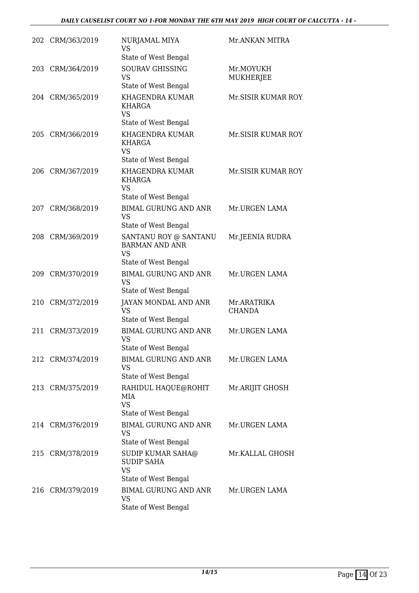|     | 202 CRM/363/2019 | NURJAMAL MIYA<br>VS<br>State of West Bengal                                              | Mr.ANKAN MITRA               |
|-----|------------------|------------------------------------------------------------------------------------------|------------------------------|
| 203 | CRM/364/2019     | <b>SOURAV GHISSING</b><br><b>VS</b><br>State of West Bengal                              | Mr.MOYUKH<br>MUKHERJEE       |
|     | 204 CRM/365/2019 | KHAGENDRA KUMAR<br>KHARGA<br><b>VS</b><br>State of West Bengal                           | Mr.SISIR KUMAR ROY           |
| 205 | CRM/366/2019     | KHAGENDRA KUMAR<br>KHARGA<br><b>VS</b>                                                   | Mr. SISIR KUMAR ROY          |
| 206 | CRM/367/2019     | State of West Bengal<br>KHAGENDRA KUMAR<br><b>KHARGA</b><br><b>VS</b>                    | Mr. SISIR KUMAR ROY          |
| 207 | CRM/368/2019     | State of West Bengal<br><b>BIMAL GURUNG AND ANR</b><br><b>VS</b><br>State of West Bengal | Mr.URGEN LAMA                |
| 208 | CRM/369/2019     | SANTANU ROY @ SANTANU<br><b>BARMAN AND ANR</b><br><b>VS</b>                              | Mr.JEENIA RUDRA              |
| 209 | CRM/370/2019     | State of West Bengal<br><b>BIMAL GURUNG AND ANR</b><br><b>VS</b><br>State of West Bengal | Mr.URGEN LAMA                |
| 210 | CRM/372/2019     | <b>JAYAN MONDAL AND ANR</b><br><b>VS</b><br>State of West Bengal                         | Mr.ARATRIKA<br><b>CHANDA</b> |
| 211 | CRM/373/2019     | <b>BIMAL GURUNG AND ANR</b><br><b>VS</b><br>State of West Bengal                         | Mr.URGEN LAMA                |
|     | 212 CRM/374/2019 | <b>BIMAL GURUNG AND ANR</b><br><b>VS</b><br>State of West Bengal                         | Mr.URGEN LAMA                |
|     | 213 CRM/375/2019 | RAHIDUL HAQUE@ROHIT<br>MIA<br><b>VS</b><br>State of West Bengal                          | Mr.ARIJIT GHOSH              |
|     | 214 CRM/376/2019 | <b>BIMAL GURUNG AND ANR</b><br>VS<br>State of West Bengal                                | Mr.URGEN LAMA                |
|     | 215 CRM/378/2019 | SUDIP KUMAR SAHA@<br><b>SUDIP SAHA</b><br><b>VS</b>                                      | Mr.KALLAL GHOSH              |
|     | 216 CRM/379/2019 | State of West Bengal<br><b>BIMAL GURUNG AND ANR</b><br><b>VS</b><br>State of West Bengal | Mr.URGEN LAMA                |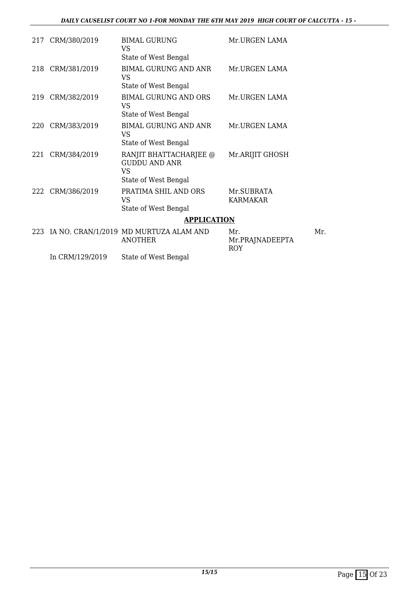| 217 | CRM/380/2019    | <b>BIMAL GURUNG</b><br>VS                                                    | Mr.URGEN LAMA                        |
|-----|-----------------|------------------------------------------------------------------------------|--------------------------------------|
|     |                 | State of West Bengal                                                         |                                      |
| 218 | CRM/381/2019    | <b>BIMAL GURUNG AND ANR</b><br><b>VS</b>                                     | Mr.URGEN LAMA                        |
|     |                 | State of West Bengal                                                         |                                      |
| 219 | CRM/382/2019    | <b>BIMAL GURUNG AND ORS</b><br>VS                                            | Mr.URGEN LAMA                        |
|     |                 | State of West Bengal                                                         |                                      |
| 220 | CRM/383/2019    | BIMAL GURUNG AND ANR<br><b>VS</b>                                            | Mr.URGEN LAMA                        |
|     |                 | State of West Bengal                                                         |                                      |
| 221 | CRM/384/2019    | RANJIT BHATTACHARJEE @<br><b>GUDDU AND ANR</b><br>VS<br>State of West Bengal | Mr.ARIJIT GHOSH                      |
| 222 | CRM/386/2019    | PRATIMA SHIL AND ORS                                                         | Mr.SUBRATA                           |
|     |                 | <b>VS</b>                                                                    | <b>KARMAKAR</b>                      |
|     |                 | State of West Bengal                                                         |                                      |
|     |                 | <b>APPLICATION</b>                                                           |                                      |
| 223 |                 | IA NO. CRAN/1/2019 MD MURTUZA ALAM AND<br><b>ANOTHER</b>                     | Mr.<br>Mr.PRAJNADEEPTA<br><b>ROY</b> |
|     | In CRM/129/2019 | State of West Bengal                                                         |                                      |

Mr.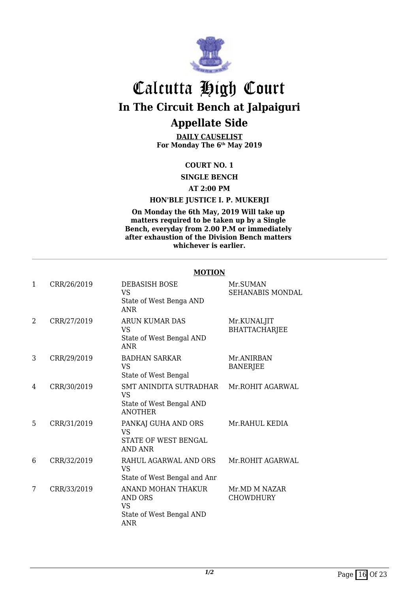

**DAILY CAUSELIST For Monday The 6th May 2019**

#### **COURT NO. 1**

**SINGLE BENCH**

**AT 2:00 PM**

#### **HON'BLE JUSTICE I. P. MUKERJI**

**On Monday the 6th May, 2019 Will take up matters required to be taken up by a Single Bench, everyday from 2.00 P.M or immediately after exhaustion of the Division Bench matters whichever is earlier.**

|   |             | MUTION                                                                            |                                     |
|---|-------------|-----------------------------------------------------------------------------------|-------------------------------------|
| 1 | CRR/26/2019 | DEBASISH BOSE<br><b>VS</b><br>State of West Benga AND<br><b>ANR</b>               | Mr.SUMAN<br>SEHANABIS MONDAL        |
| 2 | CRR/27/2019 | <b>ARUN KUMAR DAS</b><br><b>VS</b><br>State of West Bengal AND<br><b>ANR</b>      | Mr.KUNALJIT<br><b>BHATTACHARJEE</b> |
| 3 | CRR/29/2019 | <b>BADHAN SARKAR</b><br><b>VS</b><br>State of West Bengal                         | Mr.ANIRBAN<br><b>BANERJEE</b>       |
| 4 | CRR/30/2019 | SMT ANINDITA SUTRADHAR<br><b>VS</b><br>State of West Bengal AND<br><b>ANOTHER</b> | Mr.ROHIT AGARWAL                    |
| 5 | CRR/31/2019 | PANKAJ GUHA AND ORS<br><b>VS</b><br>STATE OF WEST BENGAL<br>AND ANR               | Mr.RAHUL KEDIA                      |
| 6 | CRR/32/2019 | RAHUL AGARWAL AND ORS<br><b>VS</b><br>State of West Bengal and Anr                | Mr.ROHIT AGARWAL                    |
| 7 | CRR/33/2019 | ANAND MOHAN THAKUR<br>AND ORS<br><b>VS</b><br>State of West Bengal AND<br>ANR     | Mr.MD M NAZAR<br>CHOWDHURY          |

#### **MOTION**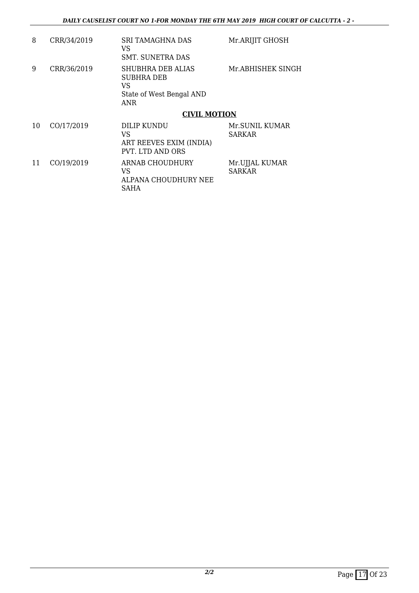| 8  | CRR/34/2019 | <b>SRI TAMAGHNA DAS</b><br>VS<br>SMT. SUNETRA DAS                               | Mr.ARIJIT GHOSH                 |
|----|-------------|---------------------------------------------------------------------------------|---------------------------------|
| 9  | CRR/36/2019 | SHUBHRA DEB ALIAS<br><b>SUBHRA DEB</b><br>VS<br>State of West Bengal AND<br>ANR | Mr.ABHISHEK SINGH               |
|    |             | <b>CIVIL MOTION</b>                                                             |                                 |
| 10 | CO/17/2019  | DILIP KUNDU<br>VS<br>ART REEVES EXIM (INDIA)<br>PVT. LTD AND ORS                | Mr.SUNIL KUMAR<br>SARKAR        |
| 11 | CO/19/2019  | ARNAB CHOUDHURY<br>VS<br>ALPANA CHOUDHURY NEE<br>SAHA                           | Mr.UJJAL KUMAR<br><b>SARKAR</b> |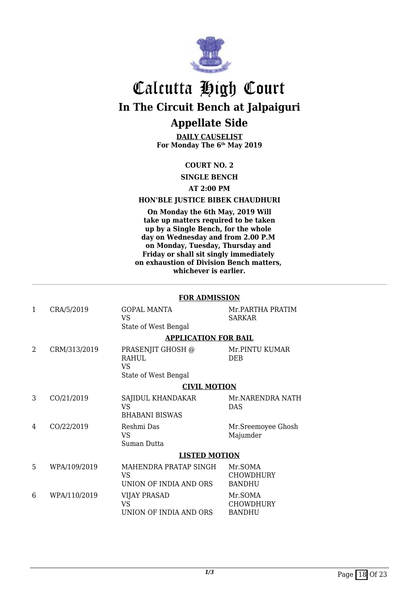

**DAILY CAUSELIST For Monday The 6th May 2019**

#### **COURT NO. 2**

**SINGLE BENCH**

#### **AT 2:00 PM**

#### **HON'BLE JUSTICE BIBEK CHAUDHURI**

**On Monday the 6th May, 2019 Will take up matters required to be taken up by a Single Bench, for the whole day on Wednesday and from 2.00 P.M on Monday, Tuesday, Thursday and Friday or shall sit singly immediately on exhaustion of Division Bench matters, whichever is earlier.**

|              |              | <b>FOR ADMISSION</b>                                       |                                              |  |
|--------------|--------------|------------------------------------------------------------|----------------------------------------------|--|
| $\mathbf{1}$ | CRA/5/2019   | GOPAL MANTA<br>VS<br>State of West Bengal                  | Mr.PARTHA PRATIM<br><b>SARKAR</b>            |  |
|              |              | <b>APPLICATION FOR BAIL</b>                                |                                              |  |
| 2            | CRM/313/2019 | PRASENJIT GHOSH @<br>RAHUL<br>VS<br>State of West Bengal   | Mr.PINTU KUMAR<br><b>DEB</b>                 |  |
|              |              | <b>CIVIL MOTION</b>                                        |                                              |  |
| 3            | CO/21/2019   | SAJIDUL KHANDAKAR<br>VS<br><b>BHABANI BISWAS</b>           | Mr.NARENDRA NATH<br><b>DAS</b>               |  |
| 4            | CO/22/2019   | Reshmi Das<br>VS<br>Suman Dutta                            | Mr.Sreemoyee Ghosh<br>Majumder               |  |
|              |              | <b>LISTED MOTION</b>                                       |                                              |  |
| 5            | WPA/109/2019 | MAHENDRA PRATAP SINGH<br>VS<br>UNION OF INDIA AND ORS      | Mr.SOMA<br><b>CHOWDHURY</b><br><b>BANDHU</b> |  |
| 6            | WPA/110/2019 | <b>VIJAY PRASAD</b><br><b>VS</b><br>UNION OF INDIA AND ORS | Mr.SOMA<br><b>CHOWDHURY</b><br><b>BANDHU</b> |  |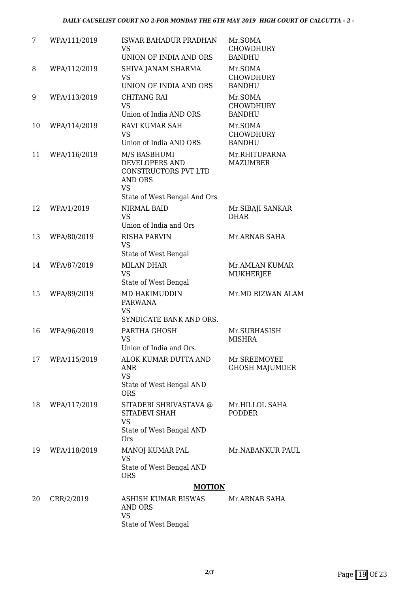| 7  | WPA/111/2019 | ISWAR BAHADUR PRADHAN<br><b>VS</b><br>UNION OF INDIA AND ORS                                                                 | Mr.SOMA<br><b>CHOWDHURY</b><br><b>BANDHU</b> |
|----|--------------|------------------------------------------------------------------------------------------------------------------------------|----------------------------------------------|
| 8  | WPA/112/2019 | SHIVA JANAM SHARMA<br><b>VS</b><br>UNION OF INDIA AND ORS                                                                    | Mr.SOMA<br><b>CHOWDHURY</b><br><b>BANDHU</b> |
| 9  | WPA/113/2019 | <b>CHITANG RAI</b><br><b>VS</b><br>Union of India AND ORS                                                                    | Mr.SOMA<br><b>CHOWDHURY</b><br><b>BANDHU</b> |
| 10 | WPA/114/2019 | <b>RAVI KUMAR SAH</b><br><b>VS</b><br>Union of India AND ORS                                                                 | Mr.SOMA<br><b>CHOWDHURY</b><br><b>BANDHU</b> |
| 11 | WPA/116/2019 | M/S BASBHUMI<br><b>DEVELOPERS AND</b><br>CONSTRUCTORS PVT LTD<br><b>AND ORS</b><br><b>VS</b><br>State of West Bengal And Ors | Mr.RHITUPARNA<br><b>MAZUMBER</b>             |
| 12 | WPA/1/2019   | <b>NIRMAL BAID</b><br><b>VS</b><br>Union of India and Ors                                                                    | Mr. SIBAJI SANKAR<br><b>DHAR</b>             |
| 13 | WPA/80/2019  | <b>RISHA PARVIN</b><br><b>VS</b><br>State of West Bengal                                                                     | Mr.ARNAB SAHA                                |
| 14 | WPA/87/2019  | <b>MILAN DHAR</b><br><b>VS</b><br>State of West Bengal                                                                       | Mr.AMLAN KUMAR<br>MUKHERJEE                  |
| 15 | WPA/89/2019  | MD HAKIMUDDIN<br><b>PARWANA</b><br><b>VS</b><br>SYNDICATE BANK AND ORS.                                                      | Mr.MD RIZWAN ALAM                            |
| 16 | WPA/96/2019  | PARTHA GHOSH<br><b>VS</b><br>Union of India and Ors                                                                          | Mr.SUBHASISH<br><b>MISHRA</b>                |
| 17 | WPA/115/2019 | ALOK KUMAR DUTTA AND<br>ANR<br><b>VS</b><br>State of West Bengal AND<br><b>ORS</b>                                           | Mr.SREEMOYEE<br><b>GHOSH MAJUMDER</b>        |
| 18 | WPA/117/2019 | SITADEBI SHRIVASTAVA @<br><b>SITADEVI SHAH</b><br><b>VS</b><br>State of West Bengal AND<br><b>Ors</b>                        | Mr.HILLOL SAHA<br><b>PODDER</b>              |
| 19 | WPA/118/2019 | MANOJ KUMAR PAL<br><b>VS</b><br>State of West Bengal AND<br><b>ORS</b>                                                       | Mr.NABANKUR PAUL                             |
|    |              | <b>MOTION</b>                                                                                                                |                                              |
| 20 | CRR/2/2019   | ASHISH KUMAR BISWAS<br><b>AND ORS</b><br><b>VS</b><br>State of West Bengal                                                   | Mr.ARNAB SAHA                                |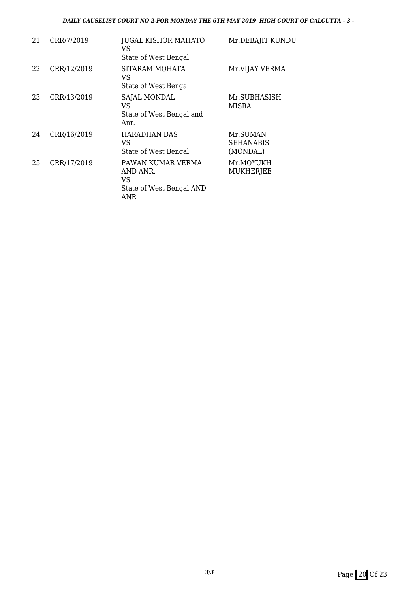#### *DAILY CAUSELIST COURT NO 2-FOR MONDAY THE 6TH MAY 2019 HIGH COURT OF CALCUTTA - 3 -*

| 21 | CRR/7/2019  | JUGAL KISHOR MAHATO<br>VS<br>State of West Bengal                      | Mr.DEBAJIT KUNDU                         |
|----|-------------|------------------------------------------------------------------------|------------------------------------------|
| 22 | CRR/12/2019 | SITARAM MOHATA<br>VS<br>State of West Bengal                           | Mr.VIJAY VERMA                           |
| 23 | CRR/13/2019 | SAJAL MONDAL<br>VS<br>State of West Bengal and<br>Anr.                 | Mr.SUBHASISH<br><b>MISRA</b>             |
| 24 | CRR/16/2019 | <b>HARADHAN DAS</b><br>VS<br>State of West Bengal                      | Mr.SUMAN<br><b>SEHANABIS</b><br>(MONDAL) |
| 25 | CRR/17/2019 | PAWAN KUMAR VERMA<br>AND ANR.<br>VS<br>State of West Bengal AND<br>ANR | Mr.MOYUKH<br><b>MUKHERJEE</b>            |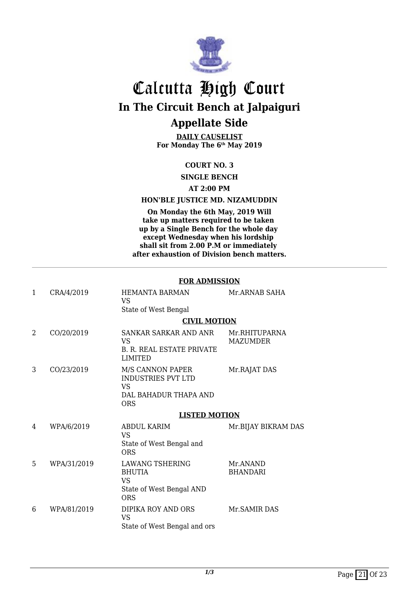

**DAILY CAUSELIST For Monday The 6th May 2019**

#### **COURT NO. 3**

**SINGLE BENCH**

#### **AT 2:00 PM**

#### **HON'BLE JUSTICE MD. NIZAMUDDIN**

**On Monday the 6th May, 2019 Will take up matters required to be taken up by a Single Bench for the whole day except Wednesday when his lordship shall sit from 2.00 P.M or immediately after exhaustion of Division bench matters.**

#### **FOR ADMISSION**

| $\mathbf{1}$ | CRA/4/2019  | <b>HEMANTA BARMAN</b><br>VS<br>State of West Bengal                                        | Mr.ARNAB SAHA                    |
|--------------|-------------|--------------------------------------------------------------------------------------------|----------------------------------|
|              |             | <b>CIVIL MOTION</b>                                                                        |                                  |
| 2            | CO/20/2019  | SANKAR SARKAR AND ANR<br><b>VS</b><br><b>B. R. REAL ESTATE PRIVATE</b><br><b>LIMITED</b>   | Mr.RHITUPARNA<br><b>MAZUMDER</b> |
| 3            | CO/23/2019  | M/S CANNON PAPER<br><b>INDUSTRIES PVT LTD</b><br>VS<br>DAL BAHADUR THAPA AND<br><b>ORS</b> | Mr.RAJAT DAS                     |
|              |             | <b>LISTED MOTION</b>                                                                       |                                  |
| 4            | WPA/6/2019  | ABDUL KARIM<br><b>VS</b><br>State of West Bengal and<br><b>ORS</b>                         | Mr.BIJAY BIKRAM DAS              |
| 5            | WPA/31/2019 | <b>LAWANG TSHERING</b><br><b>BHUTIA</b><br>VS<br>State of West Bengal AND<br><b>ORS</b>    | Mr.ANAND<br><b>BHANDARI</b>      |
| 6            | WPA/81/2019 | DIPIKA ROY AND ORS<br><b>VS</b><br>State of West Bengal and ors                            | Mr. SAMIR DAS                    |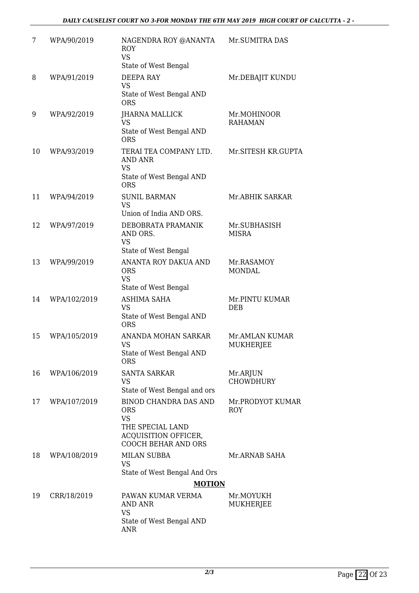| 7  | WPA/90/2019  | NAGENDRA ROY @ANANTA<br><b>ROY</b><br><b>VS</b><br>State of West Bengal                                                           | Mr.SUMITRA DAS                 |
|----|--------------|-----------------------------------------------------------------------------------------------------------------------------------|--------------------------------|
| 8  | WPA/91/2019  | <b>DEEPA RAY</b><br><b>VS</b><br>State of West Bengal AND<br><b>ORS</b>                                                           | Mr.DEBAJIT KUNDU               |
| 9  | WPA/92/2019  | JHARNA MALLICK<br><b>VS</b><br>State of West Bengal AND<br><b>ORS</b>                                                             | Mr.MOHINOOR<br><b>RAHAMAN</b>  |
| 10 | WPA/93/2019  | TERAI TEA COMPANY LTD.<br><b>AND ANR</b><br><b>VS</b><br>State of West Bengal AND<br><b>ORS</b>                                   | Mr.SITESH KR.GUPTA             |
| 11 | WPA/94/2019  | <b>SUNIL BARMAN</b><br><b>VS</b><br>Union of India AND ORS.                                                                       | Mr.ABHIK SARKAR                |
| 12 | WPA/97/2019  | DEBOBRATA PRAMANIK<br>AND ORS.<br><b>VS</b><br>State of West Bengal                                                               | Mr.SUBHASISH<br><b>MISRA</b>   |
| 13 | WPA/99/2019  | ANANTA ROY DAKUA AND<br><b>ORS</b><br><b>VS</b><br>State of West Bengal                                                           | Mr.RASAMOY<br><b>MONDAL</b>    |
| 14 | WPA/102/2019 | <b>ASHIMA SAHA</b><br><b>VS</b><br>State of West Bengal AND<br><b>ORS</b>                                                         | Mr.PINTU KUMAR<br><b>DEB</b>   |
| 15 | WPA/105/2019 | ANANDA MOHAN SARKAR<br><b>VS</b><br>State of West Bengal AND<br><b>ORS</b>                                                        | Mr.AMLAN KUMAR<br>MUKHERJEE    |
| 16 | WPA/106/2019 | SANTA SARKAR<br><b>VS</b><br>State of West Bengal and ors                                                                         | Mr.ARJUN<br><b>CHOWDHURY</b>   |
| 17 | WPA/107/2019 | <b>BINOD CHANDRA DAS AND</b><br><b>ORS</b><br><b>VS</b><br>THE SPECIAL LAND<br>ACQUISITION OFFICER,<br><b>COOCH BEHAR AND ORS</b> | Mr.PRODYOT KUMAR<br><b>ROY</b> |
| 18 | WPA/108/2019 | <b>MILAN SUBBA</b><br>VS.<br>State of West Bengal And Ors<br><b>MOTION</b>                                                        | Mr.ARNAB SAHA                  |
|    |              |                                                                                                                                   |                                |
| 19 | CRR/18/2019  | PAWAN KUMAR VERMA<br>AND ANR<br><b>VS</b>                                                                                         | Mr.MOYUKH<br>MUKHERJEE         |
|    |              | State of West Bengal AND<br><b>ANR</b>                                                                                            |                                |